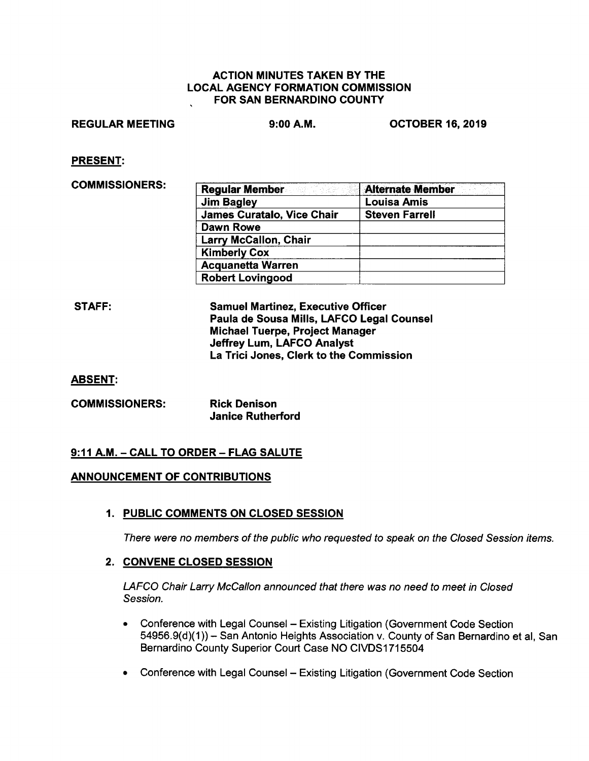#### ACTION MINUTES TAKEN BY THE LOCAL AGENCY FORMATION COMMISSION FOR SAN BERNARDINO COUNTY

## REGULAR MEETING 9:00 **A.M.** OCTOBER 16, 2019

PRESENT:

COMMISSIONERS: **Regular Member Alternate ,Member** 

| <b>Regular Member</b>             | <b>Alternate Member</b> |
|-----------------------------------|-------------------------|
| <b>Jim Bagley</b>                 | <b>Louisa Amis</b>      |
| <b>James Curatalo, Vice Chair</b> | <b>Steven Farrell</b>   |
| Dawn Rowe                         |                         |
| <b>Larry McCallon, Chair</b>      |                         |
| <b>Kimberly Cox</b>               |                         |
| <b>Acquanetta Warren</b>          |                         |
| <b>Robert Lovingood</b>           |                         |

| STAFF: | <b>Samuel Martinez, Executive Officer</b> |
|--------|-------------------------------------------|
|        | Paula de Sousa Mills, LAFCO Legal Counsel |
|        | Michael Tuerpe, Project Manager           |
|        | <b>Jeffrey Lum, LAFCO Analyst</b>         |
|        | La Trici Jones, Clerk to the Commission   |

ABSENT:

| <b>COMMISSIONERS:</b> | <b>Rick Denison</b>      |
|-----------------------|--------------------------|
|                       | <b>Janice Rutherford</b> |

## **9:11 A.M. -CALL TO ORDER- FLAG SALUTE**

## **ANNOUNCEMENT OF CONTRIBUTIONS**

**1. PUBLIC COMMENTS ON CLOSED SESSION** 

There were no members of the public who requested to speak on the Closed Session items.

## **2. CONVENE CLOSED SESSION**

LAFCO Chair Larry McCallon announced that there was no need to meet in Closed Session.

- Conference with Legal Counsel Existing Litigation (Government Code Section 54956.9(d)(1)) - San Antonio Heights Association v. County of San Bernardino et al, San Bernardino County Superior Court Case NO CIVDS1715504
- Conference with Legal Counsel Existing Litigation (Government Code Section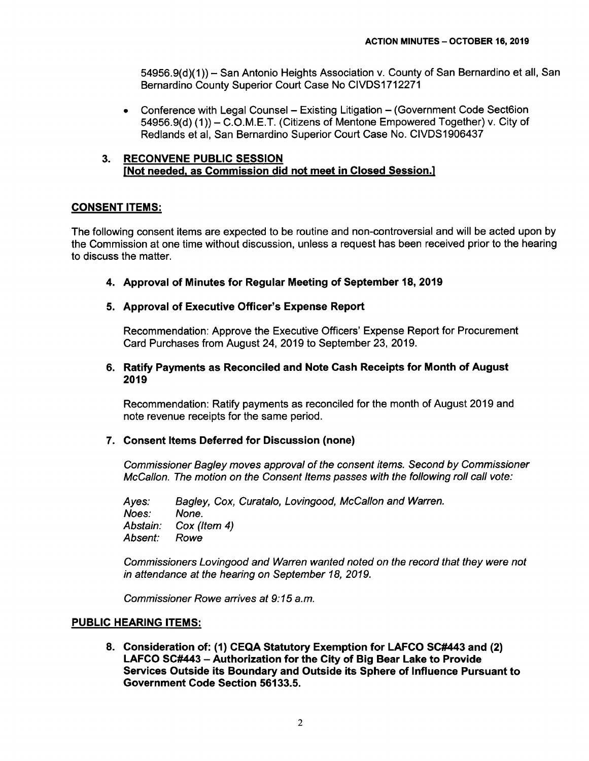54956.9(d)(1)) - San Antonio Heights Association v. County of San Bernardino et all, San Bernardino County Superior Court Case No CIVDS1712271

• Conference with Legal Counsel – Existing Litigation – (Government Code Sect6ion 54956.9(d) (1)) - C.O.M.E.T. (Citizens of Mentone Empowered Together) v. City of Redlands et al, San Bernardino Superior Court Case No. CIVDS1906437

## **3. RECONVENE PUBLIC SESSION [Not needed, as Commission did not meet in Closed Session.)**

# **CONSENT ITEMS:**

The following consent items are expected to be routine and non-controversial and will be acted upon by the Commission at one time without discussion, unless a request has been received prior to the hearing to discuss the matter.

**4. Approval of Minutes for Regular Meeting of September 18, 2019** 

# **5. Approval of Executive Officer's Expense Report**

Recommendation: Approve the Executive Officers' Expense Report for Procurement Card Purchases from August 24, 2019 to September 23, 2019.

## **6. Ratify Payments as Reconciled and Note Cash Receipts for Month of August 2019**

Recommendation: Ratify payments as reconciled for the month of August 2019 and note revenue receipts for the same period.

## **7. Consent Items Deferred for Discussion (none)**

Commissioner Bagley moves approval of the consent items. Second by Commissioner McCallon. The motion on the Consent Items passes with the following roll call vote:

Ayes: Noes: Abstain: Absent: Bagley, Cox, Curatalo, Lovingood, McCallon and Warren. None. Cox (Item 4) Rowe

Commissioners Lovingood and Warren wanted noted on the record that they were not in attendance at the hearing on September 18, 2019.

Commissioner Rowe arrives at 9:15 a.m.

## **PUBLIC HEARING ITEMS:**

**8. Consideration of: (1) CEQA Statutory Exemption for LAFCO SC#443 and (2) LAFCO SC#443** - **Authorization for the City of Big Bear Lake to Provide Services Outside its Boundary and Outside its Sphere of Influence Pursuant to Government Code Section 56133.5.**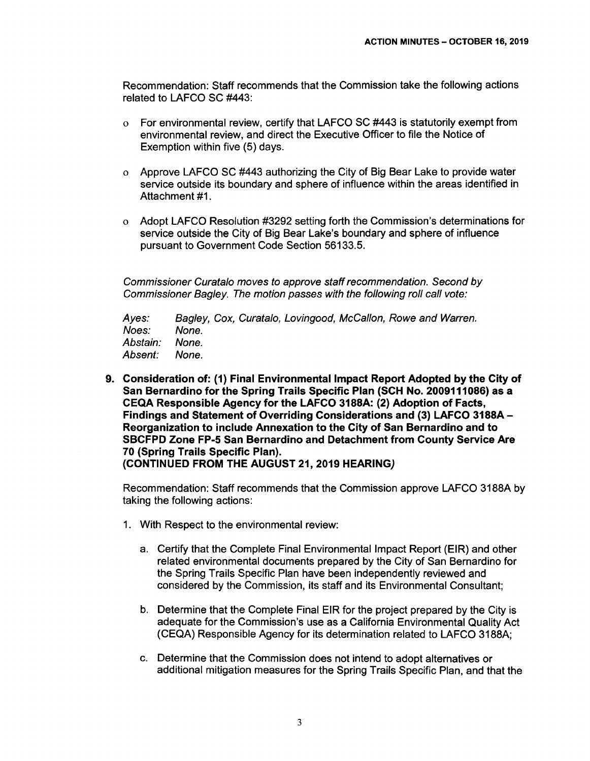Recommendation: Staff recommends that the Commission take the following actions related to LAFCO SC #443:

- o For environmental review, certify that LAFCO SC #443 is statutorily exempt from environmental review, and direct the Executive Officer to file the Notice of Exemption within five (5) days.
- o Approve LAFCO SC #443 authorizing the City of Big Bear Lake to provide water service outside its boundary and sphere of influence within the areas identified in Attachment #1.
- o Adopt LAFCO Resolution #3292 setting forth the Commission's determinations for service outside the City of Big Bear Lake's boundary and sphere of influence pursuant to Government Code Section 56133.5.

Commissioner Curatalo moves to approve staff recommendation. Second by Commissioner Bagley. The motion passes with the following roll call vote:

Ayes: Noes: Abstain: Absent: Bagley, Cox, Curatalo, Lovingood, McCallon, Rowe and Warren. None. None. None.

**9. Consideration of: (1) Final Environmental Impact Report Adopted by the City of San Bernardino for the Spring Trails Specific Plan (SCH No. 2009111086) as a CEQA Responsible Agency for the LAFCO 3188A: (2) Adoption of Facts, Findings and Statement of Overriding Considerations and (3) LAFCO 3188A-Reorganization to include Annexation to the City of San Bernardino and to SBCFPD Zone FP-5 San Bernardino and Detachment from County Service Are 70 (Spring Trails Specific Plan). (CONTINUED FROM THE AUGUST 21, 2019 HEARING)** 

Recommendation: Staff recommends that the Commission approve LAFCO 3188A by taking the following actions:

- 1. With Respect to the environmental review:
	- a. Certify that the Complete Final Environmental Impact Report (EIR) and other related environmental documents prepared by the City of San Bernardino for the Spring Trails Specific Plan have been independently reviewed and considered by the Commission, its staff and its Environmental Consultant;
	- b. Determine that the Complete Final EIR for the project prepared by the City is adequate for the Commission's use as a California Environmental Quality Act (CEQA) Responsible Agency for its determination related to LAFCO 3188A;
	- c. Determine that the Commission does not intend to adopt alternatives or additional mitigation measures for the Spring Trails Specific Plan, and that the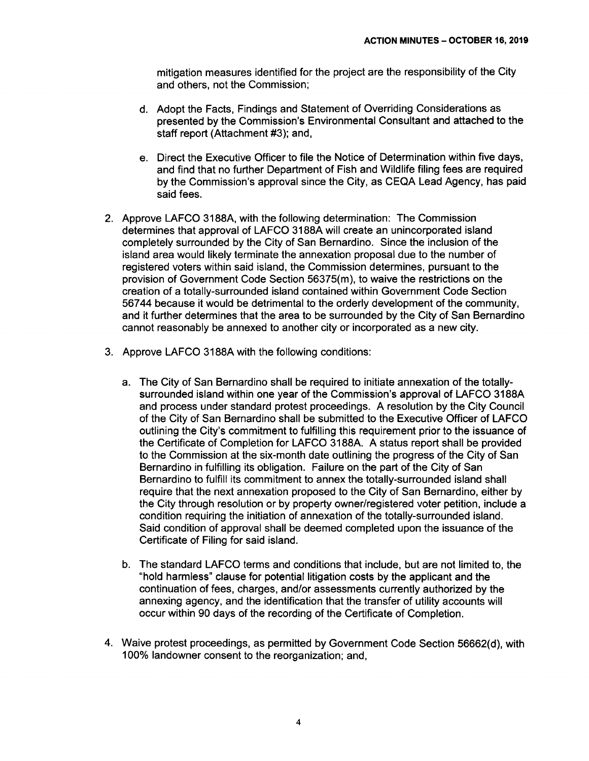mitigation measures identified for the project are the responsibility of the City and others, not the Commission;

- d. Adopt the Facts, Findings and Statement of Overriding Considerations as presented by the Commission's Environmental Consultant and attached to the staff report (Attachment #3); and,
- e. Direct the Executive Officer to file the Notice of Determination within five days, and find that no further Department of Fish and Wildlife filing fees are required by the Commission's approval since the City, as CEQA Lead Agency, has paid said fees.
- 2. Approve LAFCO 3188A, with the following determination: The Commission determines that approval of LAFCO 3188A will create an unincorporated island completely surrounded by the City of San Bernardino. Since the inclusion of the island area would likely terminate the annexation proposal due to the number of registered voters within said island, the Commission determines, pursuant to the provision of Government Code Section 56375(m), to waive the restrictions on the creation of a totally-surrounded island contained within Government Code Section 567 44 because it would be detrimental to the orderly development of the community, and it further determines that the area to be surrounded by the City of San Bernardino cannot reasonably be annexed to another city or incorporated as a new city.
- 3. Approve LAFCO 3188A with the following conditions:
	- a. The City of San Bernardino shall be required to initiate annexation of the totallysurrounded island within one year of the Commission's approval of LAFCO 3188A and process under standard protest proceedings. A resolution by the City Council of the City of San Bernardino shall be submitted to the Executive Officer of LAFCO outlining the City's commitment to fulfilling this requirement prior to the issuance of the Certificate of Completion for LAFCO 3188A. A status report shall be provided to the Commission at the six-month date outlining the progress of the City of San Bernardino in fulfilling its obligation. Failure on the part of the City of San Bernardino to fulfill its commitment to annex the totally-surrounded island shall require that the next annexation proposed to the City of San Bernardino, either by the City through resolution or by property owner/registered voter petition, include a condition requiring the initiation of annexation of the totally-surrounded island. Said condition of approval shall be deemed completed upon the issuance of the Certificate of Filing for said island.
	- b. The standard LAFCO terms and conditions that include, but are not limited to, the "hold harmless" clause for potential litigation costs by the applicant and the continuation of fees, charges, and/or assessments currently authorized by the annexing agency, and the identification that the transfer of utility accounts will occur within 90 days of the recording of the Certificate of Completion.
- 4. Waive protest proceedings, as permitted by Government Code Section 56662(d), with 100% landowner consent to the reorganization; and,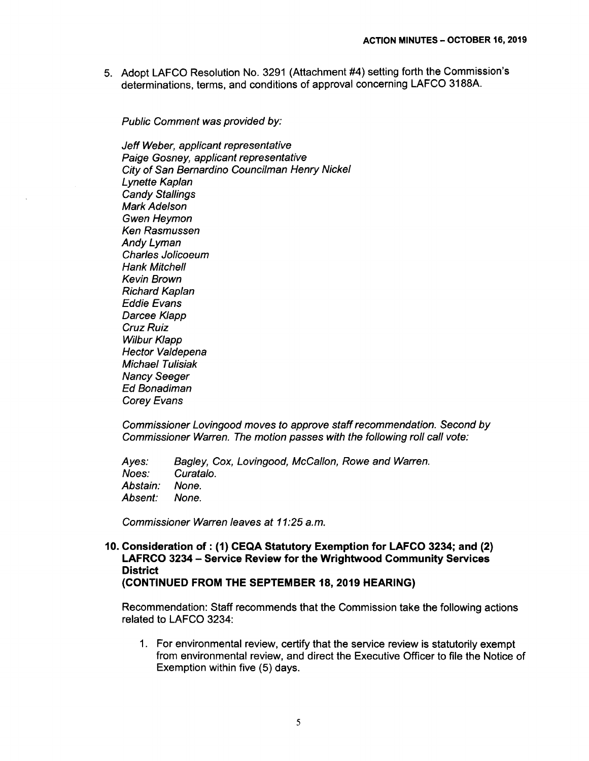5. Adopt LAFCO Resolution No. 3291 (Attachment #4) setting forth the Commission's determinations, terms, and conditions of approval concerning LAFCO 3188A.

Public Comment was provided by:

Jeff Weber, applicant representative Paige Gosney, applicant representative City of San Bernardino Councilman Henry Nickel Lynette Kaplan Candy Stallings Mark Adelson Gwen Heymon Ken Rasmussen Andy Lyman Charles Jolicoeum Hank Mitchell Kevin Brown Richard Kaplan Eddie Evans Darcee Klapp Cruz Ruiz Wilbur Klapp Hector Valdepena Michael Tulisiak Nancy Seeger Ed Bonadiman Corey Evans

Commissioner Lovingood moves to approve staff recommendation. Second by Commissioner Warren. The motion passes with the following roll call vote:

Ayes: Noes: Abstain: Absent: Bagley, Cox, Lovingood, McCallon, Rowe and Warren. Curatalo. None. None.

Commissioner Warren leaves at 11:25 a.m.

**10. Consideration of: (1) CEQA Statutory Exemption for LAFCO 3234; and (2) LAFRCO 3234** - **Service Review for the Wrightwood Community Services District (CONTINUED FROM THE SEPTEMBER 18, 2019 HEARING)** 

Recommendation: Staff recommends that the Commission take the following actions related to LAFCO 3234:

1. For environmental review, certify that the service review is statutorily exempt from environmental review, and direct the Executive Officer to file the Notice of Exemption within five (5) days.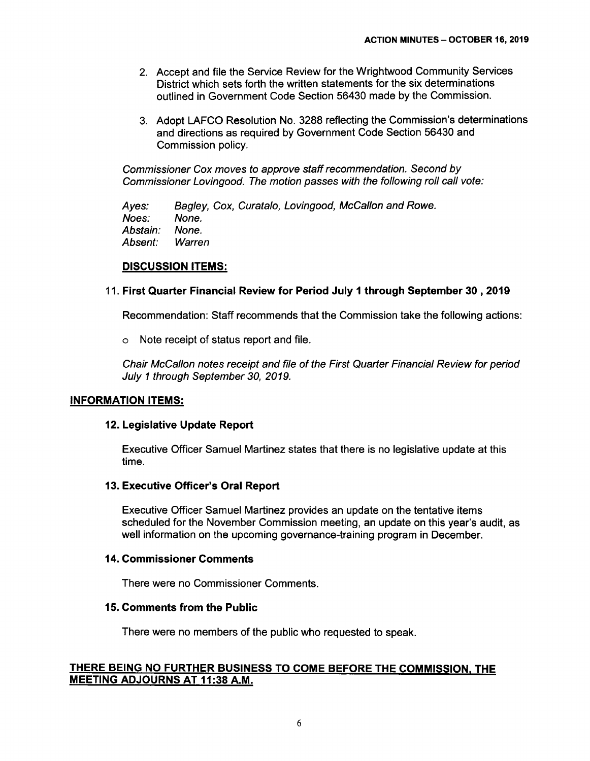- 2. Accept and file the Service Review for the Wrightwood Community Services District which sets forth the written statements for the six determinations outlined in Government Code Section 56430 made by the Commission.
- 3. Adopt LAFCO Resolution No. 3288 reflecting the Commission's determinations and directions as required by Government Code Section 56430 and Commission policy.

Commissioner Cox moves to approve staff recommendation. Second by Commissioner Lovingood. The motion passes with the following roll call vote:

Ayes: Noes: Bagley, Cox, Curatalo, Lovingood, McCallon and Rowe. None.<br>None. Abstain: Absent: Warren

## **DISCUSSION ITEMS:**

## 11. **First Quarter Financial Review for Period July 1 through September 30, 2019**

Recommendation: Staff recommends that the Commission take the following actions:

o Note receipt of status report and file.

Chair McCallon notes receipt and file of the First Quarter Financial Review for period July 1 through September 30, 2019.

#### **INFORMATION ITEMS:**

#### **12. Legislative Update Report**

Executive Officer Samuel Martinez states that there is no legislative update at this time.

#### **13. Executive Officer's Oral Report**

Executive Officer Samuel Martinez provides an update on the tentative items scheduled for the November Commission meeting, an update on this year's audit, as well information on the upcoming governance-training program in December.

#### **14. Commissioner Comments**

There were no Commissioner Comments.

#### **15. Comments from the Public**

There were no members of the public who requested to speak.

## **THERE BEING NO FURTHER BUSINESS TO COME BEFORE THE COMMISSION, THE MEETING ADJOURNS AT 11:38 A.M.**